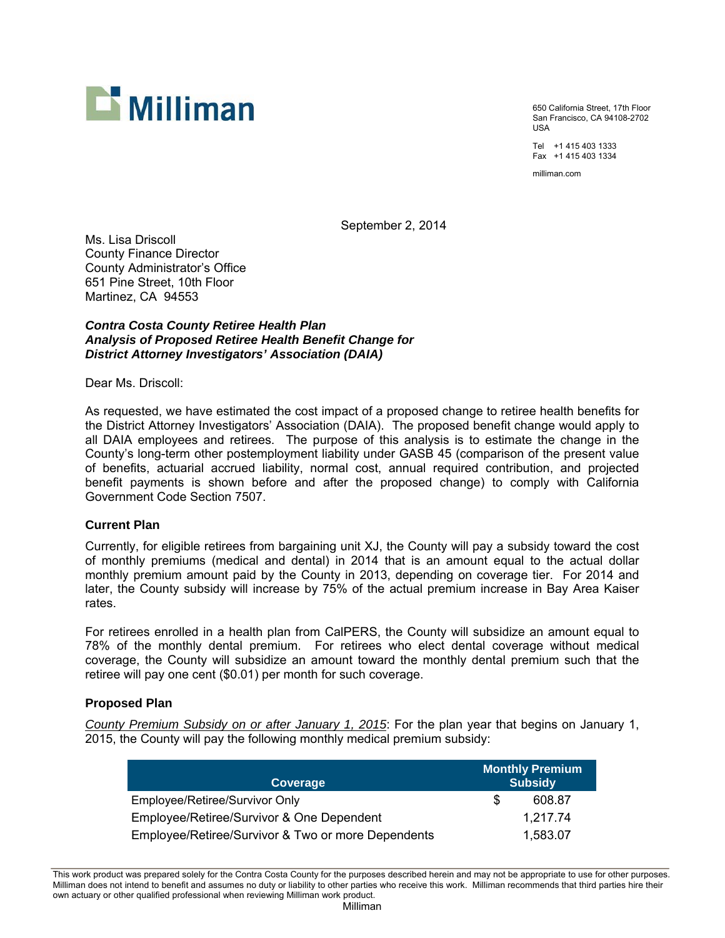

650 California Street, 17th Floor San Francisco, CA 94108-2702 USA

Tel +1 415 403 1333 Fax +1 415 403 1334

milliman.com

September 2, 2014

Ms. Lisa Driscoll County Finance Director County Administrator's Office 651 Pine Street, 10th Floor Martinez, CA 94553

# *Contra Costa County Retiree Health Plan Analysis of Proposed Retiree Health Benefit Change for District Attorney Investigators' Association (DAIA)*

Dear Ms. Driscoll:

As requested, we have estimated the cost impact of a proposed change to retiree health benefits for the District Attorney Investigators' Association (DAIA). The proposed benefit change would apply to all DAIA employees and retirees. The purpose of this analysis is to estimate the change in the County's long-term other postemployment liability under GASB 45 (comparison of the present value of benefits, actuarial accrued liability, normal cost, annual required contribution, and projected benefit payments is shown before and after the proposed change) to comply with California Government Code Section 7507.

# **Current Plan**

Currently, for eligible retirees from bargaining unit XJ, the County will pay a subsidy toward the cost of monthly premiums (medical and dental) in 2014 that is an amount equal to the actual dollar monthly premium amount paid by the County in 2013, depending on coverage tier. For 2014 and later, the County subsidy will increase by 75% of the actual premium increase in Bay Area Kaiser rates.

For retirees enrolled in a health plan from CalPERS, the County will subsidize an amount equal to 78% of the monthly dental premium. For retirees who elect dental coverage without medical coverage, the County will subsidize an amount toward the monthly dental premium such that the retiree will pay one cent (\$0.01) per month for such coverage.

# **Proposed Plan**

*County Premium Subsidy on or after January 1, 2015*: For the plan year that begins on January 1, 2015, the County will pay the following monthly medical premium subsidy:

| Coverage                                           | Monthly Premium<br><b>Subsidy</b> |
|----------------------------------------------------|-----------------------------------|
| Employee/Retiree/Survivor Only                     | 608.87                            |
| Employee/Retiree/Survivor & One Dependent          | 1.217.74                          |
| Employee/Retiree/Survivor & Two or more Dependents | 1,583.07                          |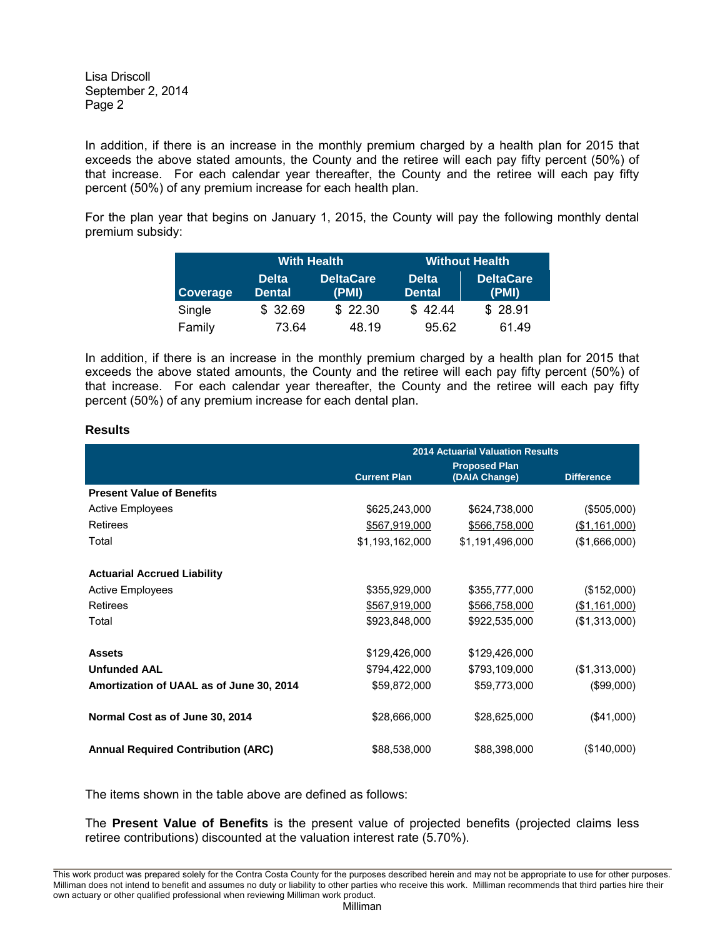In addition, if there is an increase in the monthly premium charged by a health plan for 2015 that exceeds the above stated amounts, the County and the retiree will each pay fifty percent (50%) of that increase. For each calendar year thereafter, the County and the retiree will each pay fifty percent (50%) of any premium increase for each health plan.

For the plan year that begins on January 1, 2015, the County will pay the following monthly dental premium subsidy:

|                 | <b>With Health</b>            |                           | <b>Without Health</b>         |                           |
|-----------------|-------------------------------|---------------------------|-------------------------------|---------------------------|
| <b>Coverage</b> | <b>Delta</b><br><b>Dental</b> | <b>DeltaCare</b><br>(PMI) | <b>Delta</b><br><b>Dental</b> | <b>DeltaCare</b><br>(PMI) |
| Single          | \$32.69                       | \$22.30                   | \$42.44                       | \$28.91                   |
| Family          | 73.64                         | 48.19                     | 95.62                         | 61.49                     |

In addition, if there is an increase in the monthly premium charged by a health plan for 2015 that exceeds the above stated amounts, the County and the retiree will each pay fifty percent (50%) of that increase. For each calendar year thereafter, the County and the retiree will each pay fifty percent (50%) of any premium increase for each dental plan.

| esult.<br>ı |
|-------------|
|-------------|

|                                           | <b>2014 Actuarial Valuation Results</b> |                 |                   |  |
|-------------------------------------------|-----------------------------------------|-----------------|-------------------|--|
|                                           |                                         |                 |                   |  |
|                                           | <b>Current Plan</b>                     | (DAIA Change)   | <b>Difference</b> |  |
| <b>Present Value of Benefits</b>          |                                         |                 |                   |  |
| <b>Active Employees</b>                   | \$625,243,000                           | \$624,738,000   | (\$505,000)       |  |
| Retirees                                  | \$567,919,000                           | \$566,758,000   | (\$1,161,000)     |  |
| Total                                     | \$1,193,162,000                         | \$1,191,496,000 | (\$1,666,000)     |  |
|                                           |                                         |                 |                   |  |
| <b>Actuarial Accrued Liability</b>        |                                         |                 |                   |  |
| <b>Active Employees</b>                   | \$355,929,000                           | \$355,777,000   | (\$152,000)       |  |
| Retirees                                  | \$567,919,000                           | \$566,758,000   | (\$1,161,000)     |  |
| Total                                     | \$923,848,000                           | \$922,535,000   | (\$1,313,000)     |  |
|                                           |                                         |                 |                   |  |
| <b>Assets</b>                             | \$129,426,000                           | \$129,426,000   |                   |  |
| <b>Unfunded AAL</b>                       | \$794,422,000                           | \$793,109,000   | (\$1,313,000)     |  |
| Amortization of UAAL as of June 30, 2014  | \$59,872,000                            | \$59,773,000    | (\$99,000)        |  |
|                                           |                                         |                 |                   |  |
| Normal Cost as of June 30, 2014           | \$28,666,000                            | \$28,625,000    | (\$41,000)        |  |
|                                           |                                         |                 |                   |  |
| <b>Annual Required Contribution (ARC)</b> | \$88,538,000                            | \$88,398,000    | (\$140,000)       |  |

The items shown in the table above are defined as follows:

The **Present Value of Benefits** is the present value of projected benefits (projected claims less retiree contributions) discounted at the valuation interest rate (5.70%).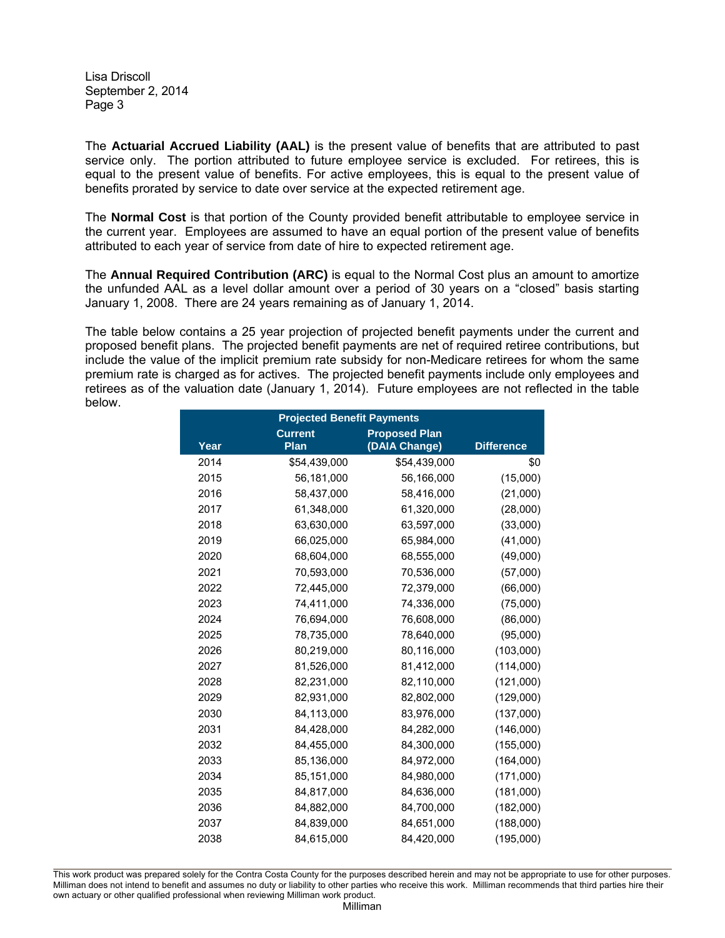The **Actuarial Accrued Liability (AAL)** is the present value of benefits that are attributed to past service only. The portion attributed to future employee service is excluded. For retirees, this is equal to the present value of benefits. For active employees, this is equal to the present value of benefits prorated by service to date over service at the expected retirement age.

The **Normal Cost** is that portion of the County provided benefit attributable to employee service in the current year. Employees are assumed to have an equal portion of the present value of benefits attributed to each year of service from date of hire to expected retirement age.

The **Annual Required Contribution (ARC)** is equal to the Normal Cost plus an amount to amortize the unfunded AAL as a level dollar amount over a period of 30 years on a "closed" basis starting January 1, 2008. There are 24 years remaining as of January 1, 2014.

The table below contains a 25 year projection of projected benefit payments under the current and proposed benefit plans. The projected benefit payments are net of required retiree contributions, but include the value of the implicit premium rate subsidy for non-Medicare retirees for whom the same premium rate is charged as for actives. The projected benefit payments include only employees and retirees as of the valuation date (January 1, 2014). Future employees are not reflected in the table below.

| <b>Projected Benefit Payments</b> |                                        |               |                   |  |  |
|-----------------------------------|----------------------------------------|---------------|-------------------|--|--|
|                                   | <b>Proposed Plan</b><br><b>Current</b> |               |                   |  |  |
| Year                              | Plan                                   | (DAIA Change) | <b>Difference</b> |  |  |
| 2014                              | \$54,439,000                           | \$54,439,000  | \$0               |  |  |
| 2015                              | 56,181,000                             | 56,166,000    | (15,000)          |  |  |
| 2016                              | 58,437,000                             | 58,416,000    | (21,000)          |  |  |
| 2017                              | 61,348,000                             | 61,320,000    | (28,000)          |  |  |
| 2018                              | 63,630,000                             | 63,597,000    | (33,000)          |  |  |
| 2019                              | 66,025,000                             | 65,984,000    | (41,000)          |  |  |
| 2020                              | 68,604,000                             | 68,555,000    | (49,000)          |  |  |
| 2021                              | 70,593,000                             | 70,536,000    | (57,000)          |  |  |
| 2022                              | 72,445,000                             | 72,379,000    | (66,000)          |  |  |
| 2023                              | 74,411,000                             | 74,336,000    | (75,000)          |  |  |
| 2024                              | 76,694,000                             | 76,608,000    | (86,000)          |  |  |
| 2025                              | 78,735,000                             | 78,640,000    | (95,000)          |  |  |
| 2026                              | 80,219,000                             | 80,116,000    | (103,000)         |  |  |
| 2027                              | 81,526,000                             | 81,412,000    | (114,000)         |  |  |
| 2028                              | 82,231,000                             | 82,110,000    | (121,000)         |  |  |
| 2029                              | 82,931,000                             | 82,802,000    | (129,000)         |  |  |
| 2030                              | 84,113,000                             | 83,976,000    | (137,000)         |  |  |
| 2031                              | 84,428,000                             | 84,282,000    | (146,000)         |  |  |
| 2032                              | 84,455,000                             | 84,300,000    | (155,000)         |  |  |
| 2033                              | 85,136,000                             | 84,972,000    | (164,000)         |  |  |
| 2034                              | 85,151,000                             | 84,980,000    | (171,000)         |  |  |
| 2035                              | 84,817,000                             | 84,636,000    | (181,000)         |  |  |
| 2036                              | 84,882,000                             | 84,700,000    | (182,000)         |  |  |
| 2037                              | 84,839,000                             | 84,651,000    | (188,000)         |  |  |
| 2038                              | 84,615,000                             | 84,420,000    | (195,000)         |  |  |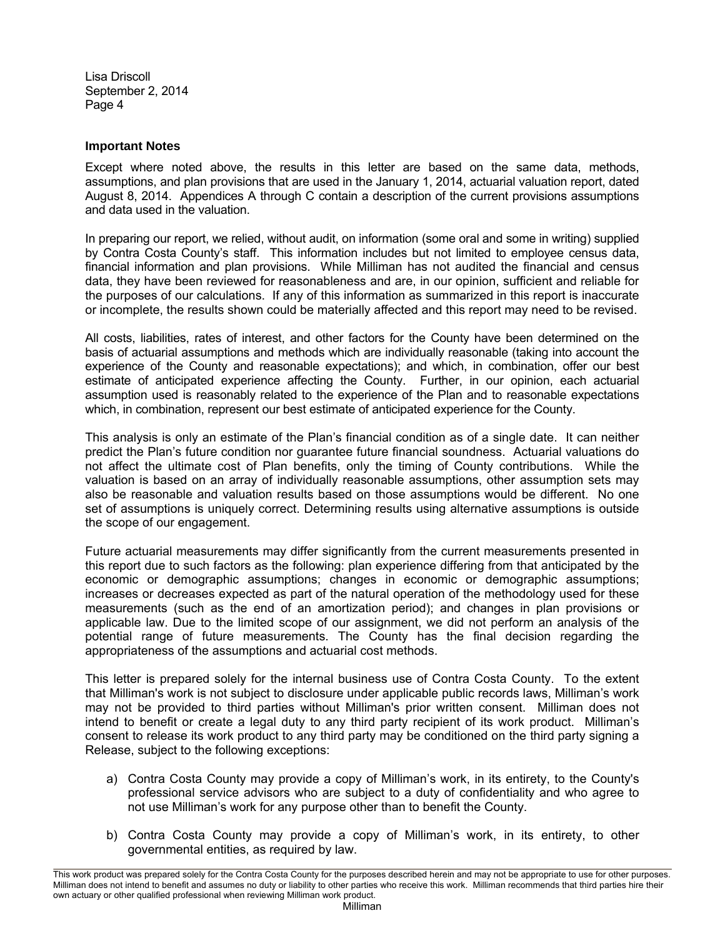# **Important Notes**

Except where noted above, the results in this letter are based on the same data, methods, assumptions, and plan provisions that are used in the January 1, 2014, actuarial valuation report, dated August 8, 2014. Appendices A through C contain a description of the current provisions assumptions and data used in the valuation.

In preparing our report, we relied, without audit, on information (some oral and some in writing) supplied by Contra Costa County's staff. This information includes but not limited to employee census data, financial information and plan provisions. While Milliman has not audited the financial and census data, they have been reviewed for reasonableness and are, in our opinion, sufficient and reliable for the purposes of our calculations. If any of this information as summarized in this report is inaccurate or incomplete, the results shown could be materially affected and this report may need to be revised.

All costs, liabilities, rates of interest, and other factors for the County have been determined on the basis of actuarial assumptions and methods which are individually reasonable (taking into account the experience of the County and reasonable expectations); and which, in combination, offer our best estimate of anticipated experience affecting the County. Further, in our opinion, each actuarial assumption used is reasonably related to the experience of the Plan and to reasonable expectations which, in combination, represent our best estimate of anticipated experience for the County.

This analysis is only an estimate of the Plan's financial condition as of a single date. It can neither predict the Plan's future condition nor guarantee future financial soundness. Actuarial valuations do not affect the ultimate cost of Plan benefits, only the timing of County contributions. While the valuation is based on an array of individually reasonable assumptions, other assumption sets may also be reasonable and valuation results based on those assumptions would be different. No one set of assumptions is uniquely correct. Determining results using alternative assumptions is outside the scope of our engagement.

Future actuarial measurements may differ significantly from the current measurements presented in this report due to such factors as the following: plan experience differing from that anticipated by the economic or demographic assumptions; changes in economic or demographic assumptions; increases or decreases expected as part of the natural operation of the methodology used for these measurements (such as the end of an amortization period); and changes in plan provisions or applicable law. Due to the limited scope of our assignment, we did not perform an analysis of the potential range of future measurements. The County has the final decision regarding the appropriateness of the assumptions and actuarial cost methods.

This letter is prepared solely for the internal business use of Contra Costa County. To the extent that Milliman's work is not subject to disclosure under applicable public records laws, Milliman's work may not be provided to third parties without Milliman's prior written consent. Milliman does not intend to benefit or create a legal duty to any third party recipient of its work product. Milliman's consent to release its work product to any third party may be conditioned on the third party signing a Release, subject to the following exceptions:

- a) Contra Costa County may provide a copy of Milliman's work, in its entirety, to the County's professional service advisors who are subject to a duty of confidentiality and who agree to not use Milliman's work for any purpose other than to benefit the County.
- b) Contra Costa County may provide a copy of Milliman's work, in its entirety, to other governmental entities, as required by law.

This work product was prepared solely for the Contra Costa County for the purposes described herein and may not be appropriate to use for other purposes. Milliman does not intend to benefit and assumes no duty or liability to other parties who receive this work. Milliman recommends that third parties hire their own actuary or other qualified professional when reviewing Milliman work product.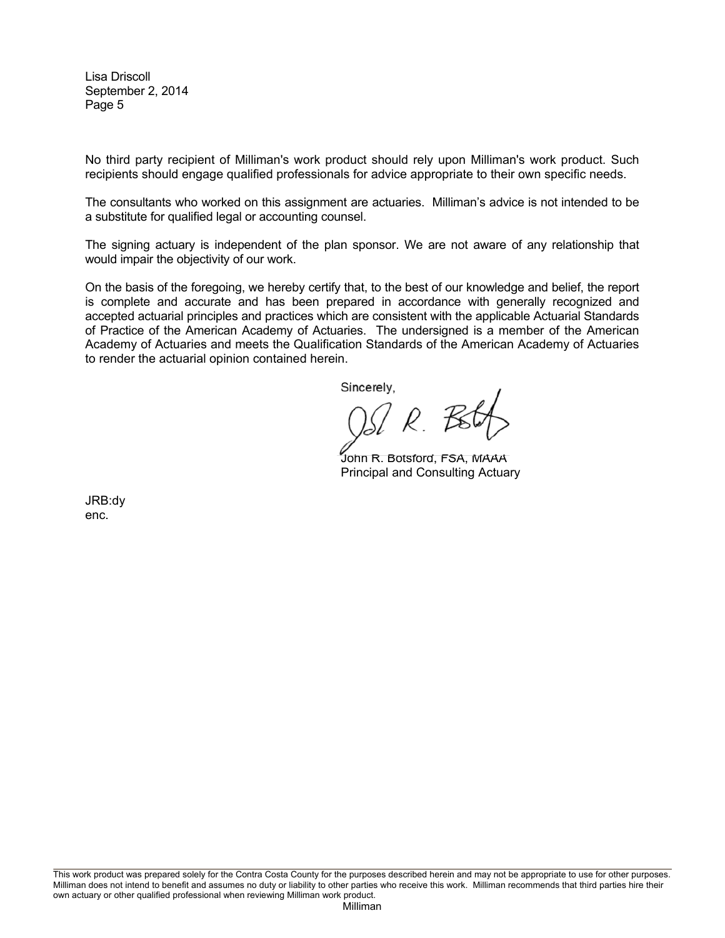No third party recipient of Milliman's work product should rely upon Milliman's work product. Such recipients should engage qualified professionals for advice appropriate to their own specific needs.

The consultants who worked on this assignment are actuaries. Milliman's advice is not intended to be a substitute for qualified legal or accounting counsel.

The signing actuary is independent of the plan sponsor. We are not aware of any relationship that would impair the objectivity of our work.

On the basis of the foregoing, we hereby certify that, to the best of our knowledge and belief, the report is complete and accurate and has been prepared in accordance with generally recognized and accepted actuarial principles and practices which are consistent with the applicable Actuarial Standards of Practice of the American Academy of Actuaries. The undersigned is a member of the American Academy of Actuaries and meets the Qualification Standards of the American Academy of Actuaries to render the actuarial opinion contained herein.

Sincerely,

<u> W. R. B</u>

John R. Botsford, FSA, MAAA Principal and Consulting Actuary

JRB:dy enc.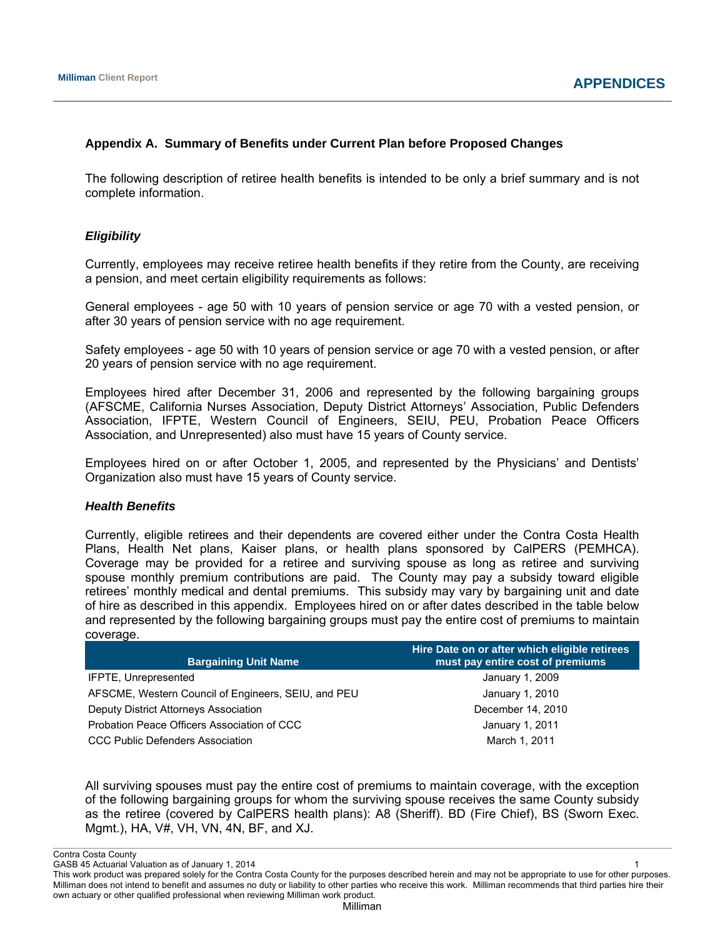# **Appendix A. Summary of Benefits under Current Plan before Proposed Changes**

The following description of retiree health benefits is intended to be only a brief summary and is not complete information.

# *Eligibility*

Currently, employees may receive retiree health benefits if they retire from the County, are receiving a pension, and meet certain eligibility requirements as follows:

General employees - age 50 with 10 years of pension service or age 70 with a vested pension, or after 30 years of pension service with no age requirement.

Safety employees - age 50 with 10 years of pension service or age 70 with a vested pension, or after 20 years of pension service with no age requirement.

Employees hired after December 31, 2006 and represented by the following bargaining groups (AFSCME, California Nurses Association, Deputy District Attorneys' Association, Public Defenders Association, IFPTE, Western Council of Engineers, SEIU, PEU, Probation Peace Officers Association, and Unrepresented) also must have 15 years of County service.

Employees hired on or after October 1, 2005, and represented by the Physicians' and Dentists' Organization also must have 15 years of County service.

# *Health Benefits*

Currently, eligible retirees and their dependents are covered either under the Contra Costa Health Plans, Health Net plans, Kaiser plans, or health plans sponsored by CalPERS (PEMHCA). Coverage may be provided for a retiree and surviving spouse as long as retiree and surviving spouse monthly premium contributions are paid. The County may pay a subsidy toward eligible retirees' monthly medical and dental premiums. This subsidy may vary by bargaining unit and date of hire as described in this appendix. Employees hired on or after dates described in the table below and represented by the following bargaining groups must pay the entire cost of premiums to maintain coverage.

| <b>Bargaining Unit Name</b>                         | Hire Date on or after which eligible retirees<br>must pay entire cost of premiums |
|-----------------------------------------------------|-----------------------------------------------------------------------------------|
| IFPTE, Unrepresented                                | January 1, 2009                                                                   |
| AFSCME, Western Council of Engineers, SEIU, and PEU | January 1, 2010                                                                   |
| Deputy District Attorneys Association               | December 14, 2010                                                                 |
| Probation Peace Officers Association of CCC         | January 1, 2011                                                                   |
| CCC Public Defenders Association                    | March 1, 2011                                                                     |

All surviving spouses must pay the entire cost of premiums to maintain coverage, with the exception of the following bargaining groups for whom the surviving spouse receives the same County subsidy as the retiree (covered by CalPERS health plans): A8 (Sheriff). BD (Fire Chief), BS (Sworn Exec. Mgmt.), HA, V#, VH, VN, 4N, BF, and XJ.

Contra Costa County

GASB 45 Actuarial Valuation as of January 1, 2014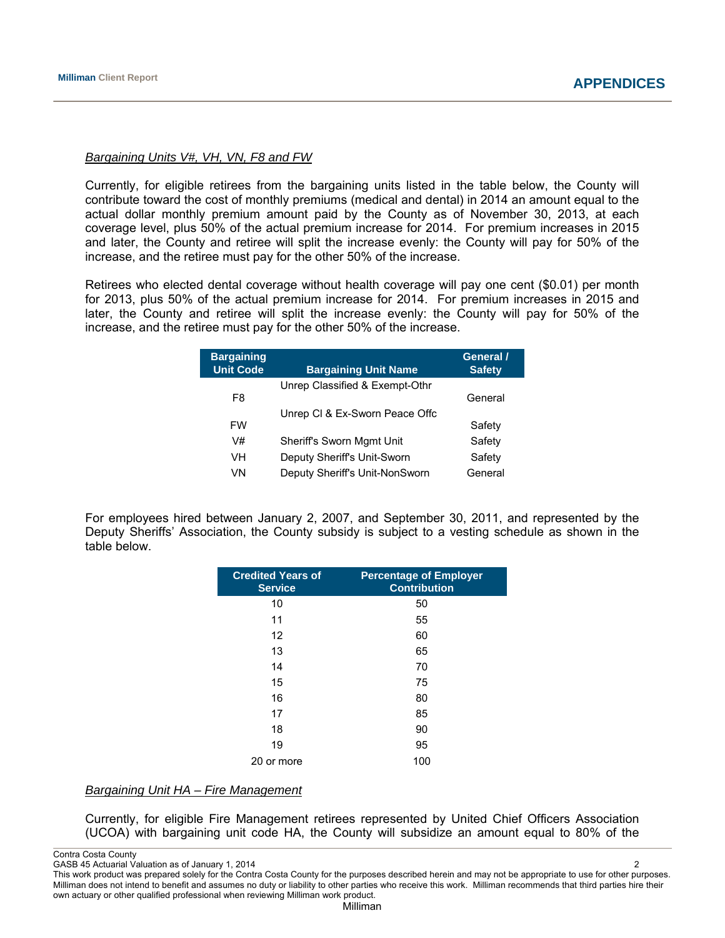### *Bargaining Units V#, VH, VN, F8 and FW*

Currently, for eligible retirees from the bargaining units listed in the table below, the County will contribute toward the cost of monthly premiums (medical and dental) in 2014 an amount equal to the actual dollar monthly premium amount paid by the County as of November 30, 2013, at each coverage level, plus 50% of the actual premium increase for 2014. For premium increases in 2015 and later, the County and retiree will split the increase evenly: the County will pay for 50% of the increase, and the retiree must pay for the other 50% of the increase.

Retirees who elected dental coverage without health coverage will pay one cent (\$0.01) per month for 2013, plus 50% of the actual premium increase for 2014. For premium increases in 2015 and later, the County and retiree will split the increase evenly: the County will pay for 50% of the increase, and the retiree must pay for the other 50% of the increase.

| <b>Bargaining</b><br><b>Unit Code</b> | <b>Bargaining Unit Name</b>      | General /<br><b>Safety</b> |
|---------------------------------------|----------------------------------|----------------------------|
|                                       | Unrep Classified & Exempt-Othr   |                            |
| F8                                    |                                  | General                    |
|                                       | Unrep CI & Ex-Sworn Peace Offc   |                            |
| FW                                    |                                  | Safety                     |
| V#                                    | <b>Sheriff's Sworn Mgmt Unit</b> | Safety                     |
| VH                                    | Deputy Sheriff's Unit-Sworn      | Safety                     |
| VN                                    | Deputy Sheriff's Unit-NonSworn   | General                    |

For employees hired between January 2, 2007, and September 30, 2011, and represented by the Deputy Sheriffs' Association, the County subsidy is subject to a vesting schedule as shown in the table below.

| <b>Credited Years of</b><br><b>Service</b> | <b>Percentage of Employer</b><br><b>Contribution</b> |
|--------------------------------------------|------------------------------------------------------|
| 10                                         | 50                                                   |
| 11                                         | 55                                                   |
| 12                                         | 60                                                   |
| 13                                         | 65                                                   |
| 14                                         | 70                                                   |
| 15                                         | 75                                                   |
| 16                                         | 80                                                   |
| 17                                         | 85                                                   |
| 18                                         | 90                                                   |
| 19                                         | 95                                                   |
| 20 or more                                 | 100                                                  |

# *Bargaining Unit HA – Fire Management*

Currently, for eligible Fire Management retirees represented by United Chief Officers Association (UCOA) with bargaining unit code HA, the County will subsidize an amount equal to 80% of the

Contra Costa County

GASB 45 Actuarial Valuation as of January 1, 2014 2

This work product was prepared solely for the Contra Costa County for the purposes described herein and may not be appropriate to use for other purposes. Milliman does not intend to benefit and assumes no duty or liability to other parties who receive this work. Milliman recommends that third parties hire their own actuary or other qualified professional when reviewing Milliman work product.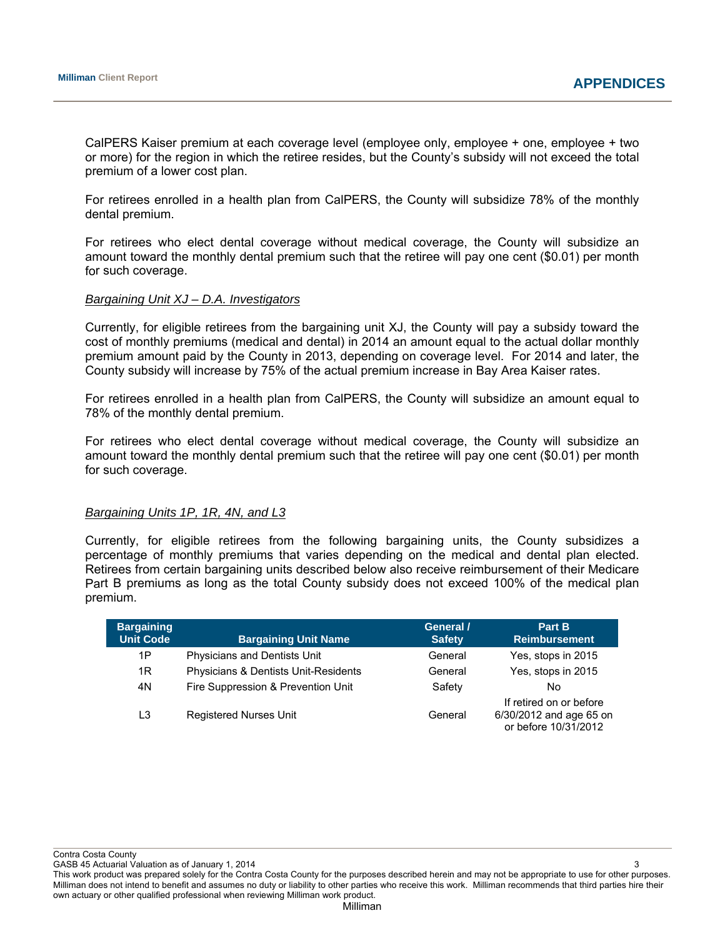CalPERS Kaiser premium at each coverage level (employee only, employee + one, employee + two or more) for the region in which the retiree resides, but the County's subsidy will not exceed the total premium of a lower cost plan.

For retirees enrolled in a health plan from CalPERS, the County will subsidize 78% of the monthly dental premium.

For retirees who elect dental coverage without medical coverage, the County will subsidize an amount toward the monthly dental premium such that the retiree will pay one cent (\$0.01) per month for such coverage.

# *Bargaining Unit XJ – D.A. Investigators*

Currently, for eligible retirees from the bargaining unit XJ, the County will pay a subsidy toward the cost of monthly premiums (medical and dental) in 2014 an amount equal to the actual dollar monthly premium amount paid by the County in 2013, depending on coverage level. For 2014 and later, the County subsidy will increase by 75% of the actual premium increase in Bay Area Kaiser rates.

For retirees enrolled in a health plan from CalPERS, the County will subsidize an amount equal to 78% of the monthly dental premium.

For retirees who elect dental coverage without medical coverage, the County will subsidize an amount toward the monthly dental premium such that the retiree will pay one cent (\$0.01) per month for such coverage.

#### *Bargaining Units 1P, 1R, 4N, and L3*

Currently, for eligible retirees from the following bargaining units, the County subsidizes a percentage of monthly premiums that varies depending on the medical and dental plan elected. Retirees from certain bargaining units described below also receive reimbursement of their Medicare Part B premiums as long as the total County subsidy does not exceed 100% of the medical plan premium.

| <b>Bargaining</b><br><b>Unit Code</b> | <b>Bargaining Unit Name</b>          | General /<br><b>Safety</b> | Part B<br><b>Reimbursement</b>                                             |
|---------------------------------------|--------------------------------------|----------------------------|----------------------------------------------------------------------------|
| 1P                                    | Physicians and Dentists Unit         | General                    | Yes, stops in 2015                                                         |
| 1R                                    | Physicians & Dentists Unit-Residents | General                    | Yes, stops in 2015                                                         |
| 4N                                    | Fire Suppression & Prevention Unit   | Safety                     | No.                                                                        |
| L3                                    | <b>Registered Nurses Unit</b>        | General                    | If retired on or before<br>6/30/2012 and age 65 on<br>or before 10/31/2012 |

Contra Costa County

GASB 45 Actuarial Valuation as of January 1, 2014 3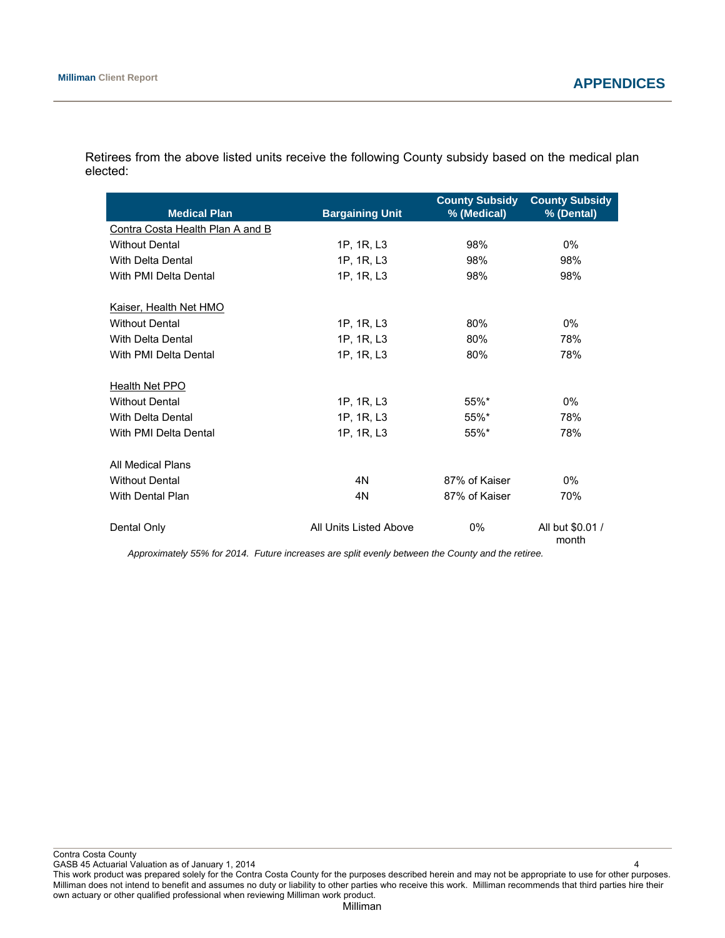| <b>Medical Plan</b>              | <b>Bargaining Unit</b> | <b>County Subsidy</b><br>% (Medical) | <b>County Subsidy</b><br>% (Dental) |
|----------------------------------|------------------------|--------------------------------------|-------------------------------------|
| Contra Costa Health Plan A and B |                        |                                      |                                     |
| <b>Without Dental</b>            | 1P, 1R, L3             | 98%                                  | $0\%$                               |
| With Delta Dental                | 1P, 1R, L3             | 98%                                  | 98%                                 |
| With PMI Delta Dental            | 1P, 1R, L3             | 98%                                  | 98%                                 |
| Kaiser, Health Net HMO           |                        |                                      |                                     |
| <b>Without Dental</b>            | 1P, 1R, L3             | 80%                                  | $0\%$                               |
| With Delta Dental                | 1P, 1R, L3             | 80%                                  | 78%                                 |
| With PMI Delta Dental            | 1P, 1R, L3             | 80%                                  | 78%                                 |
| Health Net PPO                   |                        |                                      |                                     |
| <b>Without Dental</b>            | 1P, 1R, L3             | 55%*                                 | $0\%$                               |
| With Delta Dental                | 1P, 1R, L3             | 55%*                                 | 78%                                 |
| With PMI Delta Dental            | 1P, 1R, L3             | 55%*                                 | 78%                                 |
| All Medical Plans                |                        |                                      |                                     |
| <b>Without Dental</b>            | 4N                     | 87% of Kaiser                        | $0\%$                               |
| With Dental Plan                 | 4N                     | 87% of Kaiser                        | 70%                                 |
| Dental Only                      | All Units Listed Above | $0\%$                                | All but \$0.01 /<br>month           |

Retirees from the above listed units receive the following County subsidy based on the medical plan elected:

*Approximately 55% for 2014. Future increases are split evenly between the County and the retiree.* 

Contra Costa County

GASB 45 Actuarial Valuation as of January 1, 2014 4

This work product was prepared solely for the Contra Costa County for the purposes described herein and may not be appropriate to use for other purposes. Milliman does not intend to benefit and assumes no duty or liability to other parties who receive this work. Milliman recommends that third parties hire their own actuary or other qualified professional when reviewing Milliman work product.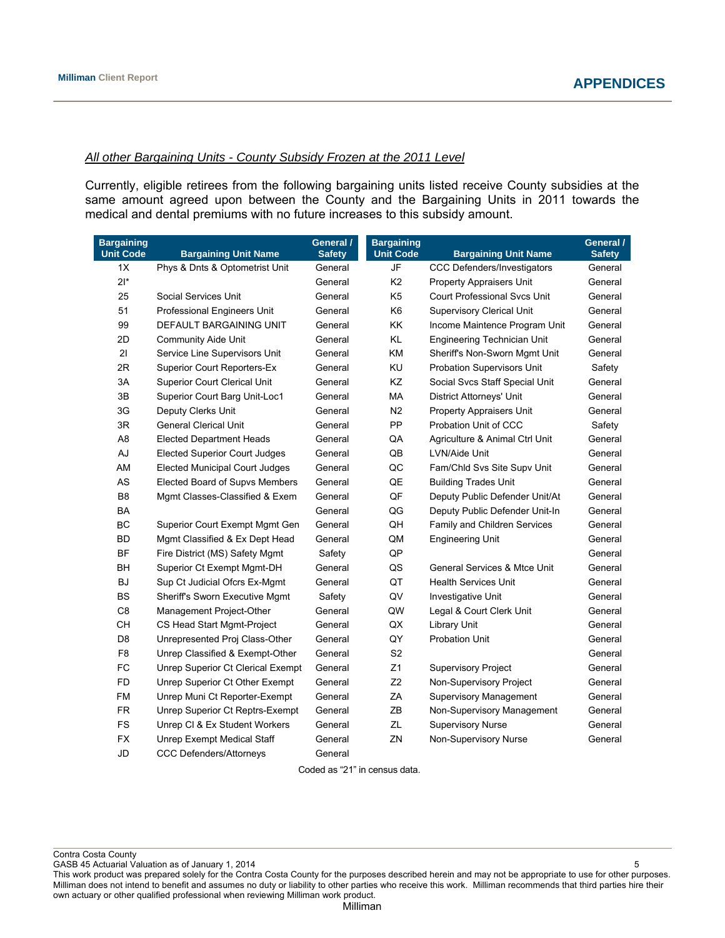### *All other Bargaining Units - County Subsidy Frozen at the 2011 Level*

Currently, eligible retirees from the following bargaining units listed receive County subsidies at the same amount agreed upon between the County and the Bargaining Units in 2011 towards the medical and dental premiums with no future increases to this subsidy amount.

| <b>Bargaining</b><br><b>Unit Code</b> | <b>Bargaining Unit Name</b>           | General /<br><b>Safety</b> | <b>Bargaining</b><br><b>Unit Code</b> | <b>Bargaining Unit Name</b>             | General /<br><b>Safety</b> |
|---------------------------------------|---------------------------------------|----------------------------|---------------------------------------|-----------------------------------------|----------------------------|
| 1X                                    | Phys & Dnts & Optometrist Unit        | General                    | JF                                    | CCC Defenders/Investigators             | General                    |
| $2*$                                  |                                       | General                    | K <sub>2</sub>                        | <b>Property Appraisers Unit</b>         | General                    |
| 25                                    | Social Services Unit                  | General                    | K <sub>5</sub>                        | <b>Court Professional Svcs Unit</b>     | General                    |
| 51                                    | Professional Engineers Unit           | General                    | K <sub>6</sub>                        | <b>Supervisory Clerical Unit</b>        | General                    |
| 99                                    | DEFAULT BARGAINING UNIT               | General                    | KK                                    | Income Maintence Program Unit           | General                    |
| 2D                                    | <b>Community Aide Unit</b>            | General                    | KL                                    | Engineering Technician Unit             | General                    |
| 21                                    | Service Line Supervisors Unit         | General                    | <b>KM</b>                             | Sheriff's Non-Sworn Mgmt Unit           | General                    |
| 2R                                    | <b>Superior Court Reporters-Ex</b>    | General                    | KU                                    | Probation Supervisors Unit              | Safety                     |
| 3A                                    | <b>Superior Court Clerical Unit</b>   | General                    | ΚZ                                    | Social Svcs Staff Special Unit          | General                    |
| 3B                                    | Superior Court Barg Unit-Loc1         | General                    | МA                                    | <b>District Attorneys' Unit</b>         | General                    |
| 3G                                    | Deputy Clerks Unit                    | General                    | N2                                    | Property Appraisers Unit                | General                    |
| 3R                                    | <b>General Clerical Unit</b>          | General                    | <b>PP</b>                             | Probation Unit of CCC                   | Safety                     |
| A <sub>8</sub>                        | <b>Elected Department Heads</b>       | General                    | QA                                    | Agriculture & Animal Ctrl Unit          | General                    |
| AJ                                    | <b>Elected Superior Court Judges</b>  | General                    | QB                                    | LVN/Aide Unit                           | General                    |
| AM                                    | <b>Elected Municipal Court Judges</b> | General                    | QC                                    | Fam/Chld Svs Site Supv Unit             | General                    |
| AS                                    | Elected Board of Supvs Members        | General                    | QE                                    | <b>Building Trades Unit</b>             | General                    |
| B <sub>8</sub>                        | Mgmt Classes-Classified & Exem        | General                    | QF                                    | Deputy Public Defender Unit/At          | General                    |
| BA                                    |                                       | General                    | QG                                    | Deputy Public Defender Unit-In          | General                    |
| <b>BC</b>                             | Superior Court Exempt Mgmt Gen        | General                    | QH                                    | Family and Children Services            | General                    |
| <b>BD</b>                             | Mgmt Classified & Ex Dept Head        | General                    | QM                                    | <b>Engineering Unit</b>                 | General                    |
| <b>BF</b>                             | Fire District (MS) Safety Mgmt        | Safety                     | QP                                    |                                         | General                    |
| BH                                    | Superior Ct Exempt Mgmt-DH            | General                    | QS                                    | <b>General Services &amp; Mtce Unit</b> | General                    |
| <b>BJ</b>                             | Sup Ct Judicial Ofcrs Ex-Mgmt         | General                    | QT                                    | <b>Health Services Unit</b>             | General                    |
| BS                                    | Sheriff's Sworn Executive Mgmt        | Safety                     | QV                                    | Investigative Unit                      | General                    |
| C <sub>8</sub>                        | Management Project-Other              | General                    | QW                                    | Legal & Court Clerk Unit                | General                    |
| CН                                    | CS Head Start Mgmt-Project            | General                    | QX                                    | <b>Library Unit</b>                     | General                    |
| D <sub>8</sub>                        | Unrepresented Proj Class-Other        | General                    | QY                                    | <b>Probation Unit</b>                   | General                    |
| F <sub>8</sub>                        | Unrep Classified & Exempt-Other       | General                    | S <sub>2</sub>                        |                                         | General                    |
| <b>FC</b>                             | Unrep Superior Ct Clerical Exempt     | General                    | Z1                                    | <b>Supervisory Project</b>              | General                    |
| <b>FD</b>                             | Unrep Superior Ct Other Exempt        | General                    | Z2                                    | Non-Supervisory Project                 | General                    |
| <b>FM</b>                             | Unrep Muni Ct Reporter-Exempt         | General                    | ZA                                    | <b>Supervisory Management</b>           | General                    |
| <b>FR</b>                             | Unrep Superior Ct Reptrs-Exempt       | General                    | ZΒ                                    | Non-Supervisory Management              | General                    |
| <b>FS</b>                             | Unrep CI & Ex Student Workers         | General                    | ZL                                    | <b>Supervisory Nurse</b>                | General                    |
| <b>FX</b>                             | <b>Unrep Exempt Medical Staff</b>     | General                    | ZN                                    | Non-Supervisory Nurse                   | General                    |
| JD                                    | <b>CCC Defenders/Attorneys</b>        | General                    |                                       |                                         |                            |

Coded as "21" in census data.

Contra Costa County

GASB 45 Actuarial Valuation as of January 1, 2014 **5** Separation 2014 **5** Separation 2014 **5** Separation 2014 **5** Separation 2014 **5** Separation 2014 **5** Separation 2014 **5** Separation 2014 **6** Separation 2014 **6** Separati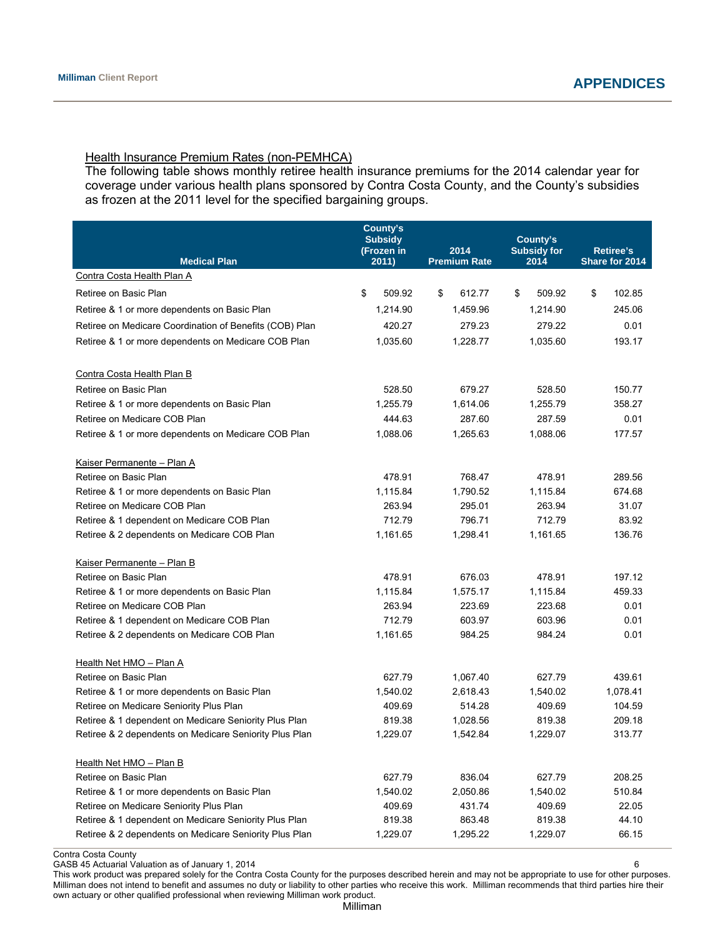### Health Insurance Premium Rates (non-PEMHCA)

The following table shows monthly retiree health insurance premiums for the 2014 calendar year for coverage under various health plans sponsored by Contra Costa County, and the County's subsidies as frozen at the 2011 level for the specified bargaining groups.

|                                                         | County's<br><b>Subsidy</b><br>(Frozen in | 2014                 | County's<br><b>Subsidy for</b> | <b>Retiree's</b> |
|---------------------------------------------------------|------------------------------------------|----------------------|--------------------------------|------------------|
| <b>Medical Plan</b><br>Contra Costa Health Plan A       | 2011)                                    | <b>Premium Rate</b>  | 2014                           | Share for 2014   |
| Retiree on Basic Plan                                   | \$                                       |                      | 509.92                         | \$               |
|                                                         | 509.92                                   | \$<br>612.77         | \$                             | 102.85           |
| Retiree & 1 or more dependents on Basic Plan            | 1,214.90                                 | 1,459.96             | 1,214.90                       | 245.06           |
| Retiree on Medicare Coordination of Benefits (COB) Plan | 420.27                                   | 279.23               | 279.22                         | 0.01             |
| Retiree & 1 or more dependents on Medicare COB Plan     | 1.035.60                                 | 1,228.77             | 1,035.60                       | 193.17           |
|                                                         |                                          |                      |                                |                  |
| Contra Costa Health Plan B                              |                                          |                      |                                |                  |
| Retiree on Basic Plan                                   | 528.50                                   | 679.27               | 528.50                         | 150.77           |
| Retiree & 1 or more dependents on Basic Plan            | 1,255.79                                 | 1,614.06             | 1,255.79                       | 358.27           |
| Retiree on Medicare COB Plan                            | 444.63                                   | 287.60               | 287.59                         | 0.01             |
| Retiree & 1 or more dependents on Medicare COB Plan     | 1,088.06                                 | 1,265.63             | 1,088.06                       | 177.57           |
|                                                         |                                          |                      |                                |                  |
| Kaiser Permanente - Plan A<br>Retiree on Basic Plan     | 478.91                                   | 768.47               | 478.91                         | 289.56           |
| Retiree & 1 or more dependents on Basic Plan            | 1,115.84                                 |                      | 1.115.84                       | 674.68           |
| Retiree on Medicare COB Plan                            | 263.94                                   | 1,790.52<br>295.01   | 263.94                         | 31.07            |
| Retiree & 1 dependent on Medicare COB Plan              | 712.79                                   | 796.71               | 712.79                         | 83.92            |
| Retiree & 2 dependents on Medicare COB Plan             | 1,161.65                                 | 1.298.41             | 1,161.65                       | 136.76           |
|                                                         |                                          |                      |                                |                  |
| Kaiser Permanente - Plan B                              |                                          |                      |                                |                  |
| Retiree on Basic Plan                                   | 478.91                                   | 676.03               | 478.91                         | 197.12           |
| Retiree & 1 or more dependents on Basic Plan            | 1,115.84                                 | 1,575.17             | 1,115.84                       | 459.33           |
| Retiree on Medicare COB Plan                            | 263.94                                   | 223.69               | 223.68                         | 0.01             |
| Retiree & 1 dependent on Medicare COB Plan              | 712.79                                   | 603.97               | 603.96                         | 0.01             |
| Retiree & 2 dependents on Medicare COB Plan             | 1,161.65                                 | 984.25               | 984.24                         | 0.01             |
|                                                         |                                          |                      |                                |                  |
| Health Net HMO - Plan A<br>Retiree on Basic Plan        |                                          |                      |                                | 439.61           |
| Retiree & 1 or more dependents on Basic Plan            | 627.79<br>1,540.02                       | 1,067.40<br>2,618.43 | 627.79<br>1,540.02             | 1,078.41         |
| Retiree on Medicare Seniority Plus Plan                 | 409.69                                   | 514.28               | 409.69                         | 104.59           |
| Retiree & 1 dependent on Medicare Seniority Plus Plan   | 819.38                                   | 1,028.56             | 819.38                         | 209.18           |
|                                                         | 1,229.07                                 | 1,542.84             | 1,229.07                       | 313.77           |
| Retiree & 2 dependents on Medicare Seniority Plus Plan  |                                          |                      |                                |                  |
| <u>Health Net HMO – Plan B</u>                          |                                          |                      |                                |                  |
| Retiree on Basic Plan                                   | 627.79                                   | 836.04               | 627.79                         | 208.25           |
| Retiree & 1 or more dependents on Basic Plan            | 1,540.02                                 | 2,050.86             | 1,540.02                       | 510.84           |
| Retiree on Medicare Seniority Plus Plan                 | 409.69                                   | 431.74               | 409.69                         | 22.05            |
| Retiree & 1 dependent on Medicare Seniority Plus Plan   | 819.38                                   | 863.48               | 819.38                         | 44.10            |
| Retiree & 2 dependents on Medicare Seniority Plus Plan  | 1,229.07                                 | 1,295.22             | 1,229.07                       | 66.15            |

Contra Costa County

GASB 45 Actuarial Valuation as of January 1, 2014 **6 GASB 45 Actuarial Valuation as of January 1**, 2014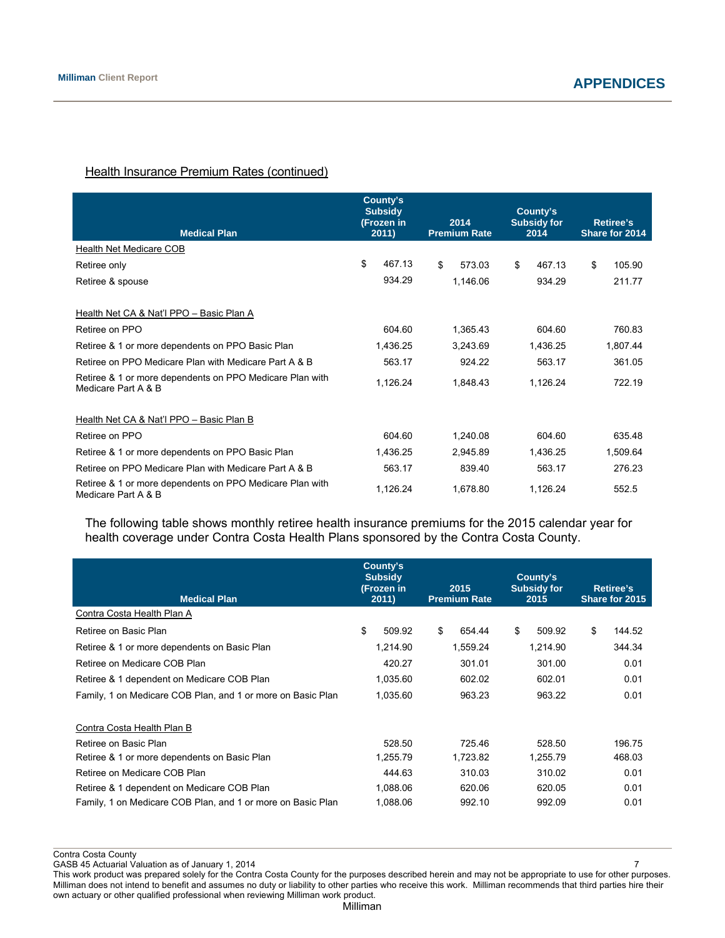# **Health Insurance Premium Rates (continued)**

| <b>Medical Plan</b>                                                             | County's<br><b>Subsidy</b><br>(Frozen in | 2014<br><b>Premium Rate</b> | County's<br><b>Subsidy for</b> | <b>Retiree's</b> |
|---------------------------------------------------------------------------------|------------------------------------------|-----------------------------|--------------------------------|------------------|
| Health Net Medicare COB                                                         | 2011)                                    |                             | 2014                           | Share for 2014   |
|                                                                                 | \$<br>467.13                             | \$<br>573.03                | \$<br>467.13                   | \$<br>105.90     |
| Retiree only                                                                    |                                          |                             |                                |                  |
| Retiree & spouse                                                                | 934.29                                   | 1,146.06                    | 934.29                         | 211.77           |
| Health Net CA & Nat'l PPO - Basic Plan A                                        |                                          |                             |                                |                  |
| Retiree on PPO                                                                  | 604.60                                   | 1,365.43                    | 604.60                         | 760.83           |
| Retiree & 1 or more dependents on PPO Basic Plan                                | 1,436.25                                 | 3,243.69                    | 1,436.25                       | 1,807.44         |
| Retiree on PPO Medicare Plan with Medicare Part A & B                           | 563.17                                   | 924.22                      | 563.17                         | 361.05           |
| Retiree & 1 or more dependents on PPO Medicare Plan with<br>Medicare Part A & B | 1,126.24                                 | 1,848.43                    | 1,126.24                       | 722.19           |
| Health Net CA & Nat'l PPO - Basic Plan B                                        |                                          |                             |                                |                  |
| Retiree on PPO                                                                  | 604.60                                   | 1,240.08                    | 604.60                         | 635.48           |
| Retiree & 1 or more dependents on PPO Basic Plan                                | 1,436.25                                 | 2,945.89                    | 1,436.25                       | 1,509.64         |
| Retiree on PPO Medicare Plan with Medicare Part A & B                           | 563.17                                   | 839.40                      | 563.17                         | 276.23           |
| Retiree & 1 or more dependents on PPO Medicare Plan with<br>Medicare Part A & B | 1,126.24                                 | 1,678.80                    | 1,126.24                       | 552.5            |

The following table shows monthly retiree health insurance premiums for the 2015 calendar year for health coverage under Contra Costa Health Plans sponsored by the Contra Costa County.

| <b>Medical Plan</b>                                         | County's<br><b>Subsidy</b><br>(Frozen in<br>2011) | 2015<br><b>Premium Rate</b> | County's<br><b>Subsidy for</b><br>2015 | <b>Retiree's</b><br>Share for 2015 |
|-------------------------------------------------------------|---------------------------------------------------|-----------------------------|----------------------------------------|------------------------------------|
| Contra Costa Health Plan A                                  |                                                   |                             |                                        |                                    |
| Retiree on Basic Plan                                       | \$<br>509.92                                      | \$<br>654.44                | \$<br>509.92                           | \$<br>144.52                       |
| Retiree & 1 or more dependents on Basic Plan                | 1,214.90                                          | 1,559.24                    | 1,214.90                               | 344.34                             |
| Retiree on Medicare COB Plan                                | 420.27                                            | 301.01                      | 301.00                                 | 0.01                               |
| Retiree & 1 dependent on Medicare COB Plan                  | 1,035.60                                          | 602.02                      | 602.01                                 | 0.01                               |
| Family, 1 on Medicare COB Plan, and 1 or more on Basic Plan | 1,035.60                                          | 963.23                      | 963.22                                 | 0.01                               |
| Contra Costa Health Plan B                                  |                                                   |                             |                                        |                                    |
| Retiree on Basic Plan                                       | 528.50                                            | 725.46                      | 528.50                                 | 196.75                             |
| Retiree & 1 or more dependents on Basic Plan                | 1,255.79                                          | 1,723.82                    | 1,255.79                               | 468.03                             |
| Retiree on Medicare COB Plan                                | 444.63                                            | 310.03                      | 310.02                                 | 0.01                               |
| Retiree & 1 dependent on Medicare COB Plan                  | 1.088.06                                          | 620.06                      | 620.05                                 | 0.01                               |
| Family, 1 on Medicare COB Plan, and 1 or more on Basic Plan | 1,088.06                                          | 992.10                      | 992.09                                 | 0.01                               |

Contra Costa County GASB 45 Actuarial Valuation as of January 1, 2014 7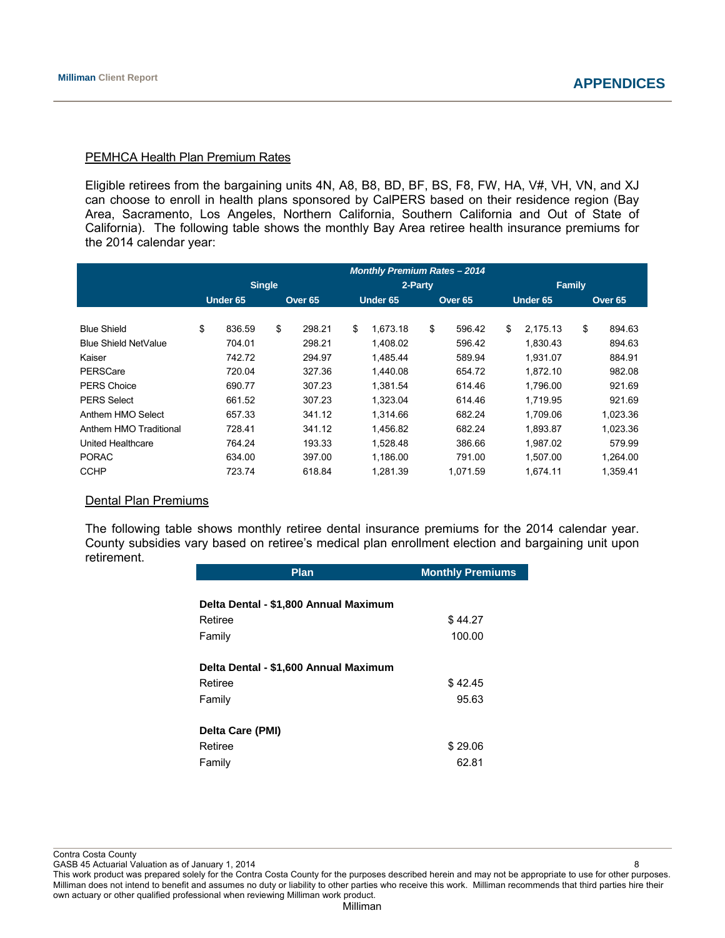### PEMHCA Health Plan Premium Rates

Eligible retirees from the bargaining units 4N, A8, B8, BD, BF, BS, F8, FW, HA, V#, VH, VN, and XJ can choose to enroll in health plans sponsored by CalPERS based on their residence region (Bay Area, Sacramento, Los Angeles, Northern California, Southern California and Out of State of California). The following table shows the monthly Bay Area retiree health insurance premiums for the 2014 calendar year:

|                             | <b>Monthly Premium Rates - 2014</b> |               |    |                    |    |          |    |          |                |    |                    |
|-----------------------------|-------------------------------------|---------------|----|--------------------|----|----------|----|----------|----------------|----|--------------------|
|                             |                                     | <b>Single</b> |    |                    |    | 2-Party  |    |          | Family         |    |                    |
|                             |                                     | Under 65      |    | Over <sub>65</sub> |    | Under 65 |    | Over 65  | Under 65       |    | Over <sub>65</sub> |
|                             |                                     |               |    |                    |    |          |    |          |                |    |                    |
| <b>Blue Shield</b>          | \$                                  | 836.59        | \$ | 298.21             | \$ | 1.673.18 | \$ | 596.42   | \$<br>2.175.13 | \$ | 894.63             |
| <b>Blue Shield NetValue</b> |                                     | 704.01        |    | 298.21             |    | 1.408.02 |    | 596.42   | 1.830.43       |    | 894.63             |
| Kaiser                      |                                     | 742.72        |    | 294.97             |    | 1,485.44 |    | 589.94   | 1,931.07       |    | 884.91             |
| PERSCare                    |                                     | 720.04        |    | 327.36             |    | 1.440.08 |    | 654.72   | 1.872.10       |    | 982.08             |
| <b>PERS Choice</b>          |                                     | 690.77        |    | 307.23             |    | 1.381.54 |    | 614.46   | 1.796.00       |    | 921.69             |
| <b>PERS Select</b>          |                                     | 661.52        |    | 307.23             |    | 1,323.04 |    | 614.46   | 1,719.95       |    | 921.69             |
| Anthem HMO Select           |                                     | 657.33        |    | 341.12             |    | 1.314.66 |    | 682.24   | 1.709.06       |    | 1,023.36           |
| Anthem HMO Traditional      |                                     | 728.41        |    | 341.12             |    | 1.456.82 |    | 682.24   | 1,893.87       |    | 1,023.36           |
| United Healthcare           |                                     | 764.24        |    | 193.33             |    | 1.528.48 |    | 386.66   | 1.987.02       |    | 579.99             |
| <b>PORAC</b>                |                                     | 634.00        |    | 397.00             |    | 1.186.00 |    | 791.00   | 1.507.00       |    | 1.264.00           |
| <b>CCHP</b>                 |                                     | 723.74        |    | 618.84             |    | 1.281.39 |    | 1.071.59 | 1.674.11       |    | 1,359.41           |

#### Dental Plan Premiums

The following table shows monthly retiree dental insurance premiums for the 2014 calendar year. County subsidies vary based on retiree's medical plan enrollment election and bargaining unit upon retirement.

| <b>Plan</b>                           | <b>Monthly Premiums</b> |
|---------------------------------------|-------------------------|
|                                       |                         |
| Delta Dental - \$1,800 Annual Maximum |                         |
| Retiree                               | \$44.27                 |
| Family                                | 100.00                  |
| Delta Dental - \$1,600 Annual Maximum |                         |
| Retiree                               | \$42.45                 |
| Family                                | 95.63                   |
| Delta Care (PMI)                      |                         |
| Retiree                               | \$29.06                 |
| Family                                | 62.81                   |

Contra Costa County

GASB 45 Actuarial Valuation as of January 1, 2014 8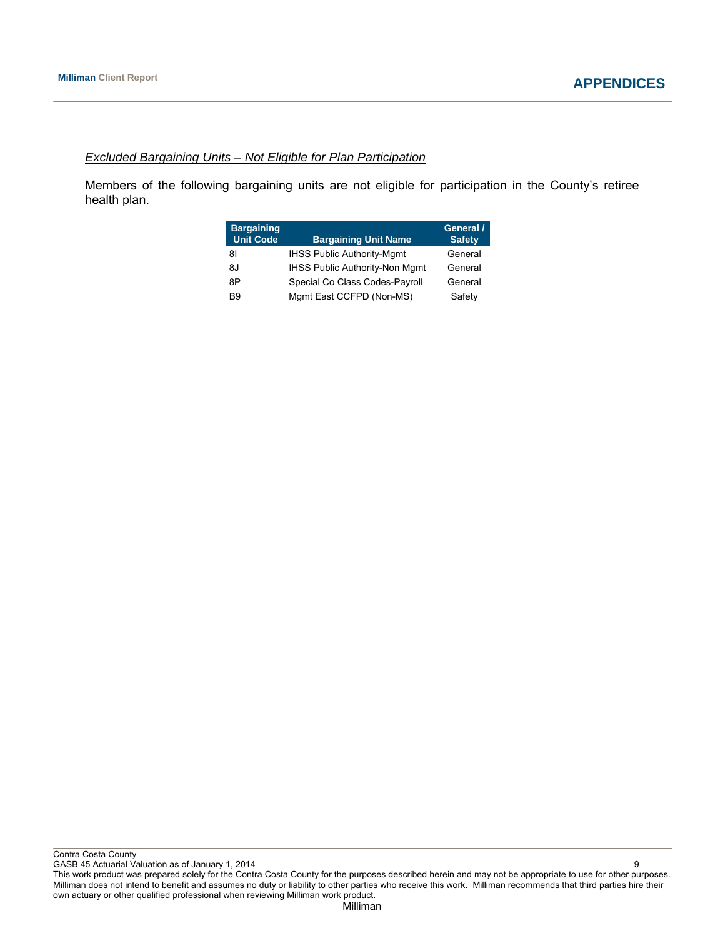### *Excluded Bargaining Units – Not Eligible for Plan Participation*

Members of the following bargaining units are not eligible for participation in the County's retiree health plan.

| <b>Bargaining</b><br><b>Unit Code</b> | <b>Bargaining Unit Name</b>           | General /<br><b>Safety</b> |
|---------------------------------------|---------------------------------------|----------------------------|
| 81                                    | <b>IHSS Public Authority-Mgmt</b>     | General                    |
| 8J                                    | <b>IHSS Public Authority-Non Mgmt</b> | General                    |
| 8P                                    | Special Co Class Codes-Payroll        | General                    |
| B9                                    | Mgmt East CCFPD (Non-MS)              | Safety                     |

GASB 45 Actuarial Valuation as of January 1, 2014 9 This work product was prepared solely for the Contra Costa County for the purposes described herein and may not be appropriate to use for other purposes. Milliman does not intend to benefit and assumes no duty or liability to other parties who receive this work. Milliman recommends that third parties hire their own actuary or other qualified professional when reviewing Milliman work product.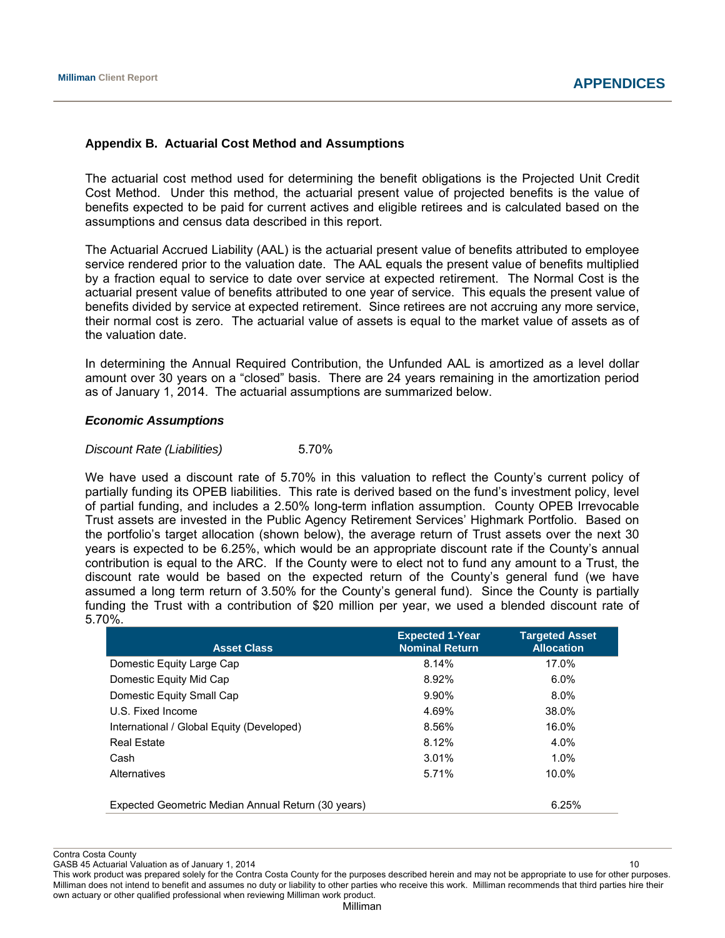# **Appendix B. Actuarial Cost Method and Assumptions**

The actuarial cost method used for determining the benefit obligations is the Projected Unit Credit Cost Method. Under this method, the actuarial present value of projected benefits is the value of benefits expected to be paid for current actives and eligible retirees and is calculated based on the assumptions and census data described in this report.

The Actuarial Accrued Liability (AAL) is the actuarial present value of benefits attributed to employee service rendered prior to the valuation date. The AAL equals the present value of benefits multiplied by a fraction equal to service to date over service at expected retirement. The Normal Cost is the actuarial present value of benefits attributed to one year of service. This equals the present value of benefits divided by service at expected retirement. Since retirees are not accruing any more service, their normal cost is zero. The actuarial value of assets is equal to the market value of assets as of the valuation date.

In determining the Annual Required Contribution, the Unfunded AAL is amortized as a level dollar amount over 30 years on a "closed" basis. There are 24 years remaining in the amortization period as of January 1, 2014. The actuarial assumptions are summarized below.

### *Economic Assumptions*

### *Discount Rate (Liabilities)* 5.70%

We have used a discount rate of 5.70% in this valuation to reflect the County's current policy of partially funding its OPEB liabilities. This rate is derived based on the fund's investment policy, level of partial funding, and includes a 2.50% long-term inflation assumption. County OPEB Irrevocable Trust assets are invested in the Public Agency Retirement Services' Highmark Portfolio. Based on the portfolio's target allocation (shown below), the average return of Trust assets over the next 30 years is expected to be 6.25%, which would be an appropriate discount rate if the County's annual contribution is equal to the ARC. If the County were to elect not to fund any amount to a Trust, the discount rate would be based on the expected return of the County's general fund (we have assumed a long term return of 3.50% for the County's general fund). Since the County is partially funding the Trust with a contribution of \$20 million per year, we used a blended discount rate of 5.70%.

| <b>Asset Class</b>                                 | <b>Expected 1-Year</b><br><b>Nominal Return</b> | <b>Targeted Asset</b><br><b>Allocation</b> |
|----------------------------------------------------|-------------------------------------------------|--------------------------------------------|
| Domestic Equity Large Cap                          | 8.14%                                           | 17.0%                                      |
| Domestic Equity Mid Cap                            | 8.92%                                           | $6.0\%$                                    |
| Domestic Equity Small Cap                          | 9.90%                                           | $8.0\%$                                    |
| U.S. Fixed Income                                  | 4.69%                                           | 38.0%                                      |
| International / Global Equity (Developed)          | 8.56%                                           | 16.0%                                      |
| <b>Real Estate</b>                                 | 8.12%                                           | 4.0%                                       |
| Cash                                               | 3.01%                                           | $1.0\%$                                    |
| Alternatives                                       | 5.71%                                           | 10.0%                                      |
| Expected Geometric Median Annual Return (30 years) |                                                 | 6.25%                                      |

Contra Costa County

GASB 45 Actuarial Valuation as of January 1, 2014 10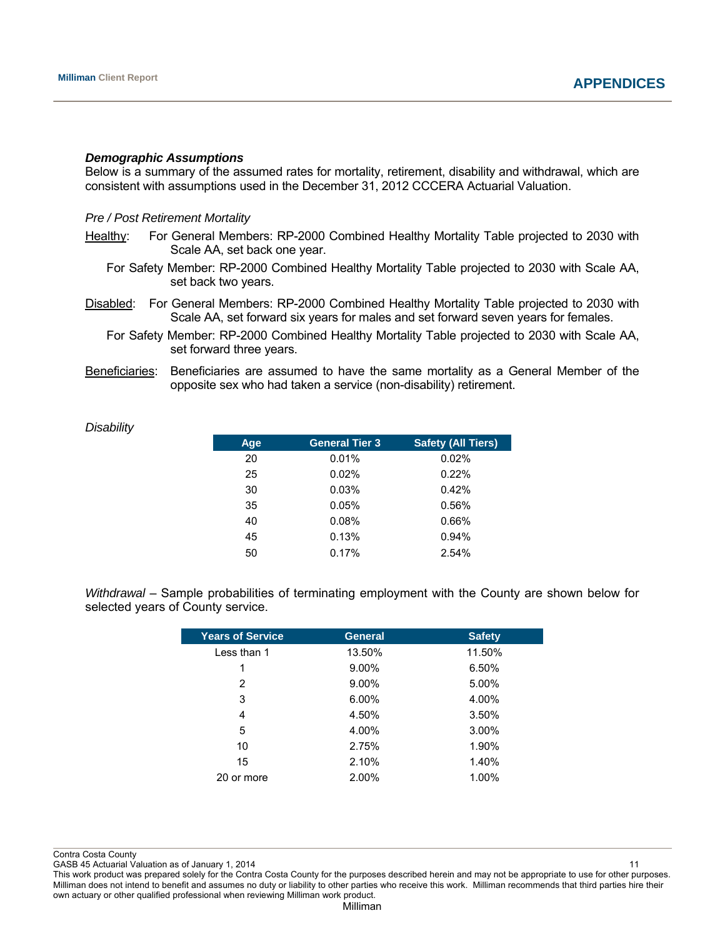*Disability*

#### *Demographic Assumptions*

Below is a summary of the assumed rates for mortality, retirement, disability and withdrawal, which are consistent with assumptions used in the December 31, 2012 CCCERA Actuarial Valuation.

#### *Pre / Post Retirement Mortality*

- Healthy: For General Members: RP-2000 Combined Healthy Mortality Table projected to 2030 with Scale AA, set back one year.
	- For Safety Member: RP-2000 Combined Healthy Mortality Table projected to 2030 with Scale AA, set back two years.
- Disabled: For General Members: RP-2000 Combined Healthy Mortality Table projected to 2030 with Scale AA, set forward six years for males and set forward seven years for females.
	- For Safety Member: RP-2000 Combined Healthy Mortality Table projected to 2030 with Scale AA, set forward three years.
- Beneficiaries: Beneficiaries are assumed to have the same mortality as a General Member of the opposite sex who had taken a service (non-disability) retirement.

| Age | <b>General Tier 3</b> | <b>Safety (All Tiers)</b> |
|-----|-----------------------|---------------------------|
| 20  | 0.01%                 | 0.02%                     |
| 25  | 0.02%                 | 0.22%                     |
| 30  | 0.03%                 | 0.42%                     |
| 35  | 0.05%                 | 0.56%                     |
| 40  | 0.08%                 | 0.66%                     |
| 45  | 0.13%                 | 0.94%                     |
| 50  | 0.17%                 | 2.54%                     |

*Withdrawal* – Sample probabilities of terminating employment with the County are shown below for selected years of County service.

| <b>General</b> | <b>Safety</b> |
|----------------|---------------|
| 13.50%         | 11.50%        |
| $9.00\%$       | 6.50%         |
| $9.00\%$       | 5.00%         |
| 6.00%          | 4.00%         |
| 4.50%          | 3.50%         |
| 4.00%          | $3.00\%$      |
| 2.75%          | 1.90%         |
| 2.10%          | 1.40%         |
| 2.00%          | 1.00%         |
|                |               |

Contra Costa County

GASB 45 Actuarial Valuation as of January 1, 2014 11 12 12 13 14 15 16 17 18 18 19 19 10 11 11 11 11 11 11 11 1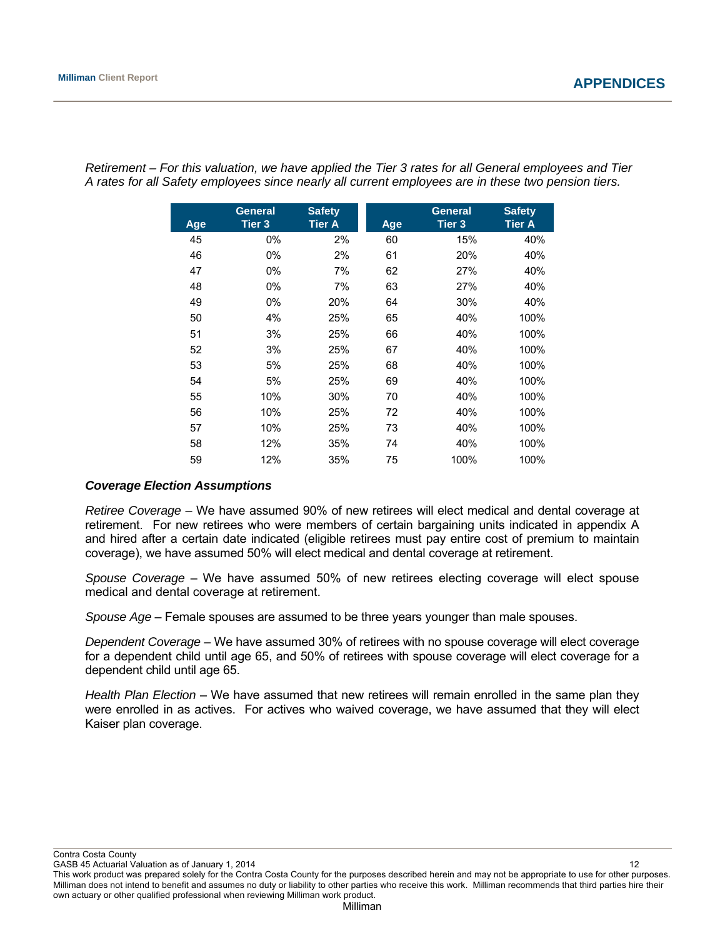| Age | <b>General</b><br>Tier 3 | <b>Safety</b><br><b>Tier A</b> | Age | <b>General</b><br>Tier 3 | <b>Safety</b><br><b>Tier A</b> |
|-----|--------------------------|--------------------------------|-----|--------------------------|--------------------------------|
| 45  | 0%                       | 2%                             | 60  | 15%                      | 40%                            |
| 46  | 0%                       | 2%                             | 61  | 20%                      | 40%                            |
| 47  | 0%                       | 7%                             | 62  | 27%                      | 40%                            |
| 48  | 0%                       | 7%                             | 63  | 27%                      | 40%                            |
| 49  | 0%                       | 20%                            | 64  | 30%                      | 40%                            |
| 50  | 4%                       | 25%                            | 65  | 40%                      | 100%                           |
| 51  | 3%                       | 25%                            | 66  | 40%                      | 100%                           |
| 52  | 3%                       | 25%                            | 67  | 40%                      | 100%                           |
| 53  | 5%                       | 25%                            | 68  | 40%                      | 100%                           |
| 54  | 5%                       | 25%                            | 69  | 40%                      | 100%                           |
| 55  | 10%                      | 30%                            | 70  | 40%                      | 100%                           |
| 56  | 10%                      | 25%                            | 72  | 40%                      | 100%                           |
| 57  | 10%                      | 25%                            | 73  | 40%                      | 100%                           |
| 58  | 12%                      | 35%                            | 74  | 40%                      | 100%                           |
| 59  | 12%                      | 35%                            | 75  | 100%                     | 100%                           |

*Retirement – For this valuation, we have applied the Tier 3 rates for all General employees and Tier A rates for all Safety employees since nearly all current employees are in these two pension tiers.* 

# *Coverage Election Assumptions*

*Retiree Coverage –* We have assumed 90% of new retirees will elect medical and dental coverage at retirement. For new retirees who were members of certain bargaining units indicated in appendix A and hired after a certain date indicated (eligible retirees must pay entire cost of premium to maintain coverage), we have assumed 50% will elect medical and dental coverage at retirement.

*Spouse Coverage* – We have assumed 50% of new retirees electing coverage will elect spouse medical and dental coverage at retirement.

*Spouse Age* – Female spouses are assumed to be three years younger than male spouses.

*Dependent Coverage –* We have assumed 30% of retirees with no spouse coverage will elect coverage for a dependent child until age 65, and 50% of retirees with spouse coverage will elect coverage for a dependent child until age 65.

*Health Plan Election* – We have assumed that new retirees will remain enrolled in the same plan they were enrolled in as actives. For actives who waived coverage, we have assumed that they will elect Kaiser plan coverage.

Contra Costa County

GASB 45 Actuarial Valuation as of January 1, 2014 12 This work product was prepared solely for the Contra Costa County for the purposes described herein and may not be appropriate to use for other purposes. Milliman does not intend to benefit and assumes no duty or liability to other parties who receive this work. Milliman recommends that third parties hire their own actuary or other qualified professional when reviewing Milliman work product.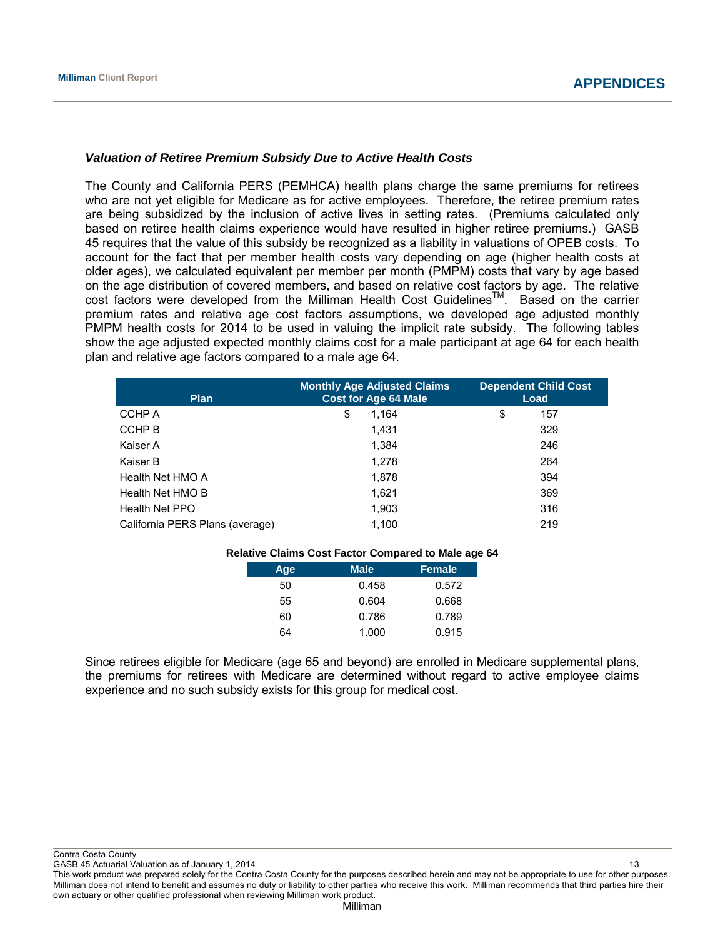### *Valuation of Retiree Premium Subsidy Due to Active Health Costs*

The County and California PERS (PEMHCA) health plans charge the same premiums for retirees who are not yet eligible for Medicare as for active employees. Therefore, the retiree premium rates are being subsidized by the inclusion of active lives in setting rates. (Premiums calculated only based on retiree health claims experience would have resulted in higher retiree premiums.) GASB 45 requires that the value of this subsidy be recognized as a liability in valuations of OPEB costs. To account for the fact that per member health costs vary depending on age (higher health costs at older ages), we calculated equivalent per member per month (PMPM) costs that vary by age based on the age distribution of covered members, and based on relative cost factors by age. The relative cost factors were developed from the Milliman Health Cost Guidelines™. Based on the carrier premium rates and relative age cost factors assumptions, we developed age adjusted monthly PMPM health costs for 2014 to be used in valuing the implicit rate subsidy. The following tables show the age adjusted expected monthly claims cost for a male participant at age 64 for each health plan and relative age factors compared to a male age 64.

| <b>Plan</b>                     | <b>Monthly Age Adjusted Claims</b><br><b>Cost for Age 64 Male</b> | <b>Dependent Child Cost</b><br>Load |
|---------------------------------|-------------------------------------------------------------------|-------------------------------------|
| CCHP A                          | 1.164<br>\$                                                       | \$<br>157                           |
| CCHP B                          | 1.431                                                             | 329                                 |
| Kaiser A                        | 1.384                                                             | 246                                 |
| Kaiser B                        | 1.278                                                             | 264                                 |
| Health Net HMO A                | 1.878                                                             | 394                                 |
| Health Net HMO B                | 1.621                                                             | 369                                 |
| Health Net PPO                  | 1,903                                                             | 316                                 |
| California PERS Plans (average) | 1.100                                                             | 219                                 |

|  |  |  | Relative Claims Cost Factor Compared to Male age 64 |  |  |
|--|--|--|-----------------------------------------------------|--|--|
|--|--|--|-----------------------------------------------------|--|--|

| Age | <b>Male</b> | <b>Female</b> |
|-----|-------------|---------------|
| 50  | 0.458       | 0.572         |
| 55  | 0.604       | 0.668         |
| 60  | 0.786       | 0.789         |
| 64  | 1.000       | 0.915         |

Since retirees eligible for Medicare (age 65 and beyond) are enrolled in Medicare supplemental plans, the premiums for retirees with Medicare are determined without regard to active employee claims experience and no such subsidy exists for this group for medical cost.

Contra Costa County

GASB 45 Actuarial Valuation as of January 1, 2014 13 and 13 and 13 and 13 and 13 and 13 and 13 and 13 and 13 and 13 and 13 and 13 and 13 and 13 and 13 and 13 and 13 and 13 and 13 and 13 and 13 and 13 and 13 and 13 and 13 a This work product was prepared solely for the Contra Costa County for the purposes described herein and may not be appropriate to use for other purposes. Milliman does not intend to benefit and assumes no duty or liability to other parties who receive this work. Milliman recommends that third parties hire their own actuary or other qualified professional when reviewing Milliman work product.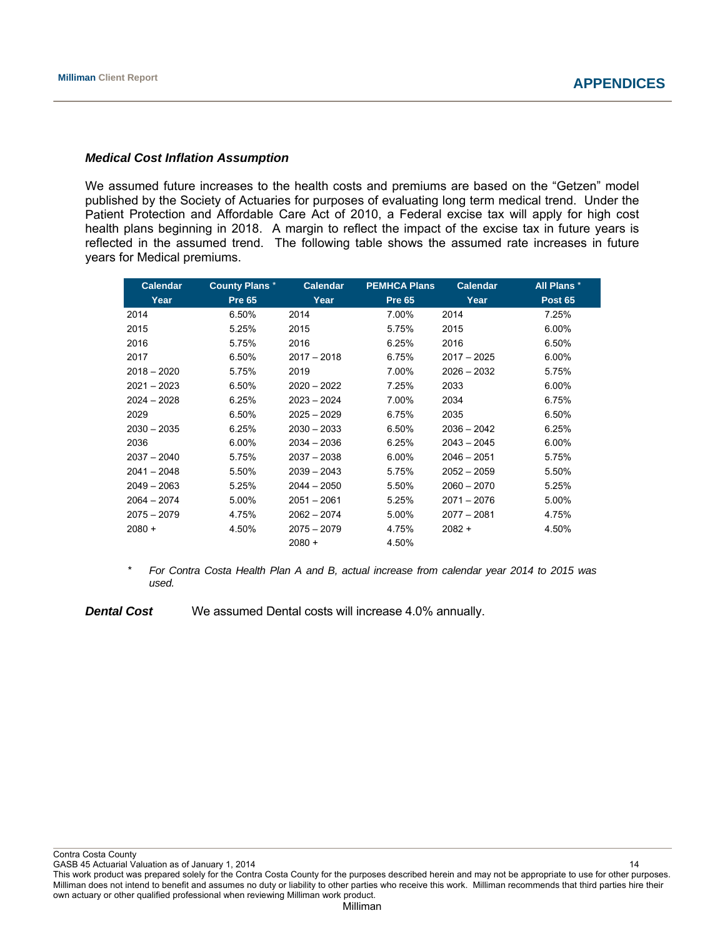### *Medical Cost Inflation Assumption*

We assumed future increases to the health costs and premiums are based on the "Getzen" model published by the Society of Actuaries for purposes of evaluating long term medical trend. Under the Patient Protection and Affordable Care Act of 2010, a Federal excise tax will apply for high cost health plans beginning in 2018. A margin to reflect the impact of the excise tax in future years is reflected in the assumed trend. The following table shows the assumed rate increases in future years for Medical premiums.

| <b>Calendar</b> | <b>County Plans*</b> | <b>Calendar</b> | <b>PEMHCA Plans</b> | <b>Calendar</b> | All Plans *    |
|-----------------|----------------------|-----------------|---------------------|-----------------|----------------|
| Year            | <b>Pre 65</b>        | Year            | <b>Pre 65</b>       | Year            | <b>Post 65</b> |
| 2014            | 6.50%                | 2014            | 7.00%               | 2014            | 7.25%          |
| 2015            | 5.25%                | 2015            | 5.75%               | 2015            | 6.00%          |
| 2016            | 5.75%                | 2016            | 6.25%               | 2016            | 6.50%          |
| 2017            | 6.50%                | $2017 - 2018$   | 6.75%               | $2017 - 2025$   | 6.00%          |
| $2018 - 2020$   | 5.75%                | 2019            | 7.00%               | $2026 - 2032$   | 5.75%          |
| $2021 - 2023$   | 6.50%                | $2020 - 2022$   | 7.25%               | 2033            | 6.00%          |
| $2024 - 2028$   | 6.25%                | $2023 - 2024$   | 7.00%               | 2034            | 6.75%          |
| 2029            | 6.50%                | $2025 - 2029$   | 6.75%               | 2035            | 6.50%          |
| $2030 - 2035$   | 6.25%                | $2030 - 2033$   | 6.50%               | $2036 - 2042$   | 6.25%          |
| 2036            | $6.00\%$             | $2034 - 2036$   | 6.25%               | $2043 - 2045$   | 6.00%          |
| $2037 - 2040$   | 5.75%                | $2037 - 2038$   | 6.00%               | $2046 - 2051$   | 5.75%          |
| $2041 - 2048$   | 5.50%                | $2039 - 2043$   | 5.75%               | $2052 - 2059$   | 5.50%          |
| $2049 - 2063$   | 5.25%                | $2044 - 2050$   | 5.50%               | $2060 - 2070$   | 5.25%          |
| $2064 - 2074$   | 5.00%                | $2051 - 2061$   | 5.25%               | $2071 - 2076$   | 5.00%          |
| $2075 - 2079$   | 4.75%                | $2062 - 2074$   | 5.00%               | $2077 - 2081$   | 4.75%          |
| $2080 +$        | 4.50%                | $2075 - 2079$   | 4.75%               | $2082 +$        | 4.50%          |
|                 |                      | $2080 +$        | 4.50%               |                 |                |

\* *For Contra Costa Health Plan A and B, actual increase from calendar year 2014 to 2015 was used.* 

**Dental Cost** We assumed Dental costs will increase 4.0% annually.

Contra Costa County

GASB 45 Actuarial Valuation as of January 1, 2014 14